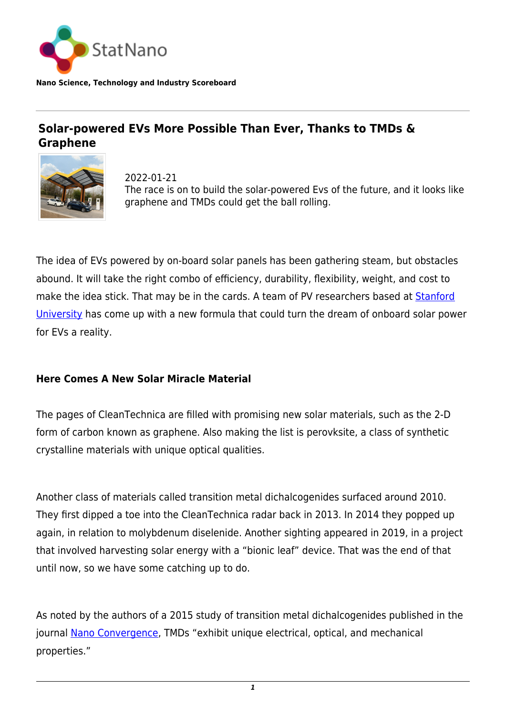

**Nano Science, Technology and Industry Scoreboard**

# **Solar-powered EVs More Possible Than Ever, Thanks to TMDs & Graphene**



2022-01-21 The race is on to build the solar-powered Evs of the future, and it looks like graphene and TMDs could get the ball rolling.

The idea of EVs powered by on-board solar panels has been gathering steam, but obstacles abound. It will take the right combo of efficiency, durability, flexibility, weight, and cost to make the idea stick. That may be in the cards. A team of PV researchers based at **[Stanford](https://statnano.com/org/Stanford-University)** [University](https://statnano.com/org/Stanford-University) has come up with a new formula that could turn the dream of onboard solar power for EVs a reality.

#### **Here Comes A New Solar Miracle Material**

The pages of CleanTechnica are filled with promising new solar materials, such as the 2-D form of carbon known as graphene. Also making the list is perovksite, a class of synthetic crystalline materials with unique optical qualities.

Another class of materials called transition metal dichalcogenides surfaced around 2010. They first dipped a toe into the CleanTechnica radar back in 2013. In 2014 they popped up again, in relation to molybdenum diselenide. Another sighting appeared in 2019, in a project that involved harvesting solar energy with a "bionic leaf" device. That was the end of that until now, so we have some catching up to do.

As noted by the authors of a 2015 study of transition metal dichalcogenides published in the journal [Nano Convergence](https://nanoconvergencejournal.springeropen.com/articles/10.1186/s40580-015-0048-4), TMDs "exhibit unique electrical, optical, and mechanical properties."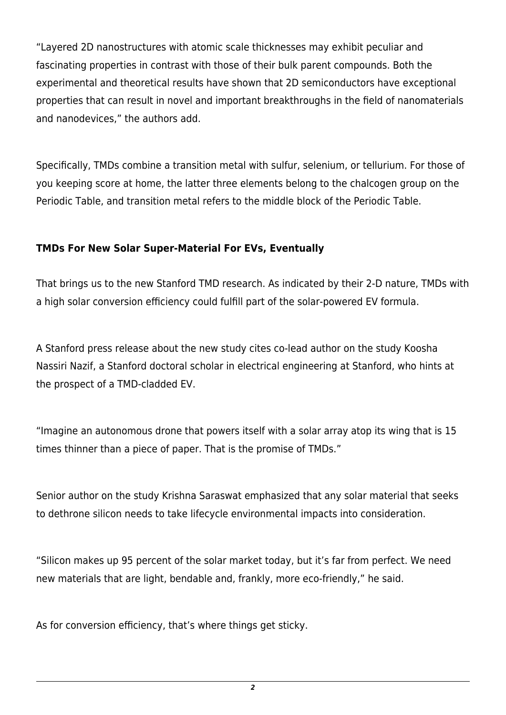"Layered 2D nanostructures with atomic scale thicknesses may exhibit peculiar and fascinating properties in contrast with those of their bulk parent compounds. Both the experimental and theoretical results have shown that 2D semiconductors have exceptional properties that can result in novel and important breakthroughs in the field of nanomaterials and nanodevices," the authors add.

Specifically, TMDs combine a transition metal with sulfur, selenium, or tellurium. For those of you keeping score at home, the latter three elements belong to the chalcogen group on the Periodic Table, and transition metal refers to the middle block of the Periodic Table.

### **TMDs For New Solar Super-Material For EVs, Eventually**

That brings us to the new Stanford TMD research. As indicated by their 2-D nature, TMDs with a high solar conversion efficiency could fulfill part of the solar-powered EV formula.

A Stanford press release about the new study cites co-lead author on the study Koosha Nassiri Nazif, a Stanford doctoral scholar in electrical engineering at Stanford, who hints at the prospect of a TMD-cladded EV.

"Imagine an autonomous drone that powers itself with a solar array atop its wing that is 15 times thinner than a piece of paper. That is the promise of TMDs."

Senior author on the study Krishna Saraswat emphasized that any solar material that seeks to dethrone silicon needs to take lifecycle environmental impacts into consideration.

"Silicon makes up 95 percent of the solar market today, but it's far from perfect. We need new materials that are light, bendable and, frankly, more eco-friendly," he said.

As for conversion efficiency, that's where things get sticky.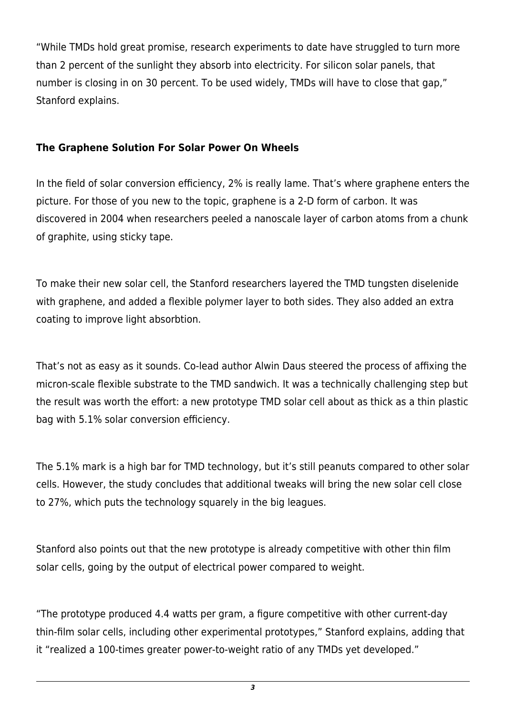"While TMDs hold great promise, research experiments to date have struggled to turn more than 2 percent of the sunlight they absorb into electricity. For silicon solar panels, that number is closing in on 30 percent. To be used widely, TMDs will have to close that gap," Stanford explains.

## **The Graphene Solution For Solar Power On Wheels**

In the field of solar conversion efficiency, 2% is really lame. That's where graphene enters the picture. For those of you new to the topic, graphene is a 2-D form of carbon. It was discovered in 2004 when researchers peeled a nanoscale layer of carbon atoms from a chunk of graphite, using sticky tape.

To make their new solar cell, the Stanford researchers layered the TMD tungsten diselenide with graphene, and added a flexible polymer layer to both sides. They also added an extra coating to improve light absorbtion.

That's not as easy as it sounds. Co-lead author Alwin Daus steered the process of affixing the micron-scale flexible substrate to the TMD sandwich. It was a technically challenging step but the result was worth the effort: a new prototype TMD solar cell about as thick as a thin plastic bag with 5.1% solar conversion efficiency.

The 5.1% mark is a high bar for TMD technology, but it's still peanuts compared to other solar cells. However, the study concludes that additional tweaks will bring the new solar cell close to 27%, which puts the technology squarely in the big leagues.

Stanford also points out that the new prototype is already competitive with other thin film solar cells, going by the output of electrical power compared to weight.

"The prototype produced 4.4 watts per gram, a figure competitive with other current-day thin-film solar cells, including other experimental prototypes," Stanford explains, adding that it "realized a 100-times greater power-to-weight ratio of any TMDs yet developed."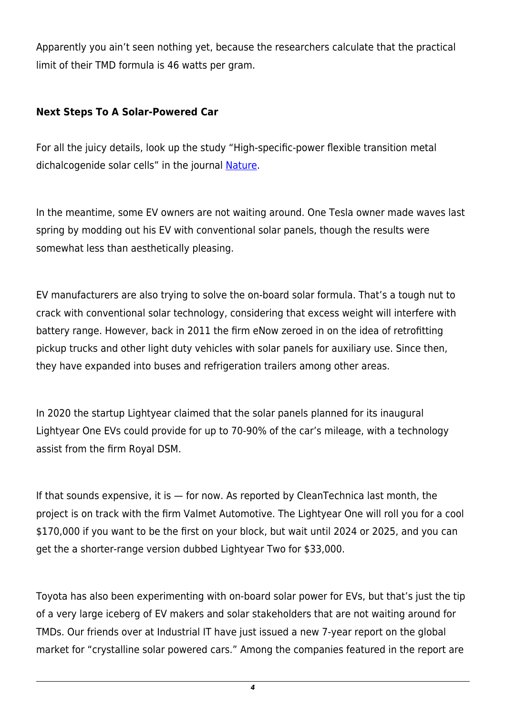Apparently you ain't seen nothing yet, because the researchers calculate that the practical limit of their TMD formula is 46 watts per gram.

# **Next Steps To A Solar-Powered Car**

For all the juicy details, look up the study "High-specific-power flexible transition metal dichalcogenide solar cells" in the journal [Nature.](https://www.nature.com/articles/s41467-021-27195-7)

In the meantime, some EV owners are not waiting around. One Tesla owner made waves last spring by modding out his EV with conventional solar panels, though the results were somewhat less than aesthetically pleasing.

EV manufacturers are also trying to solve the on-board solar formula. That's a tough nut to crack with conventional solar technology, considering that excess weight will interfere with battery range. However, back in 2011 the firm eNow zeroed in on the idea of retrofitting pickup trucks and other light duty vehicles with solar panels for auxiliary use. Since then, they have expanded into buses and refrigeration trailers among other areas.

In 2020 the startup Lightyear claimed that the solar panels planned for its inaugural Lightyear One EVs could provide for up to 70-90% of the car's mileage, with a technology assist from the firm Royal DSM.

If that sounds expensive, it is  $-$  for now. As reported by CleanTechnica last month, the project is on track with the firm Valmet Automotive. The Lightyear One will roll you for a cool \$170,000 if you want to be the first on your block, but wait until 2024 or 2025, and you can get the a shorter-range version dubbed Lightyear Two for \$33,000.

Toyota has also been experimenting with on-board solar power for EVs, but that's just the tip of a very large iceberg of EV makers and solar stakeholders that are not waiting around for TMDs. Our friends over at Industrial IT have just issued a new 7-year report on the global market for "crystalline solar powered cars." Among the companies featured in the report are